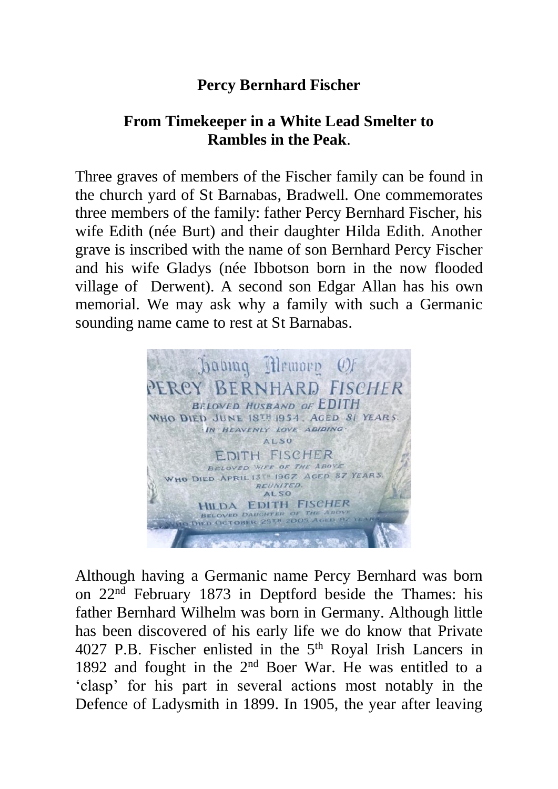## **Percy Bernhard Fischer**

## **From Timekeeper in a White Lead Smelter to Rambles in the Peak**.

Three graves of members of the Fischer family can be found in the church yard of St Barnabas, Bradwell. One commemorates three members of the family: father Percy Bernhard Fischer, his wife Edith (née Burt) and their daughter Hilda Edith. Another grave is inscribed with the name of son Bernhard Percy Fischer and his wife Gladys (née Ibbotson born in the now flooded village of Derwent). A second son Edgar Allan has his own memorial. We may ask why a family with such a Germanic sounding name came to rest at St Barnabas.



Although having a Germanic name Percy Bernhard was born on 22nd February 1873 in Deptford beside the Thames: his father Bernhard Wilhelm was born in Germany. Although little has been discovered of his early life we do know that Private 4027 P.B. Fischer enlisted in the 5<sup>th</sup> Royal Irish Lancers in 1892 and fought in the 2nd Boer War. He was entitled to a 'clasp' for his part in several actions most notably in the Defence of Ladysmith in 1899. In 1905, the year after leaving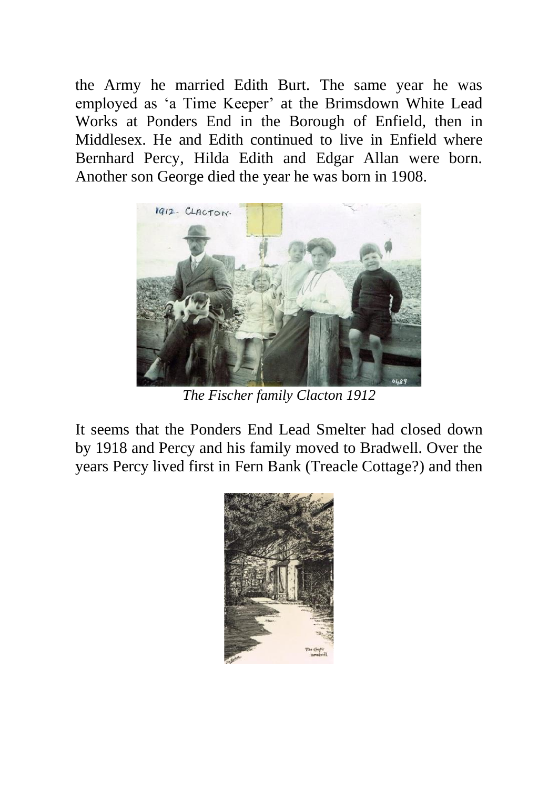the Army he married Edith Burt. The same year he was employed as 'a Time Keeper' at the Brimsdown White Lead Works at Ponders End in the Borough of Enfield, then in Middlesex. He and Edith continued to live in Enfield where Bernhard Percy, Hilda Edith and Edgar Allan were born. Another son George died the year he was born in 1908.



*The Fischer family Clacton 1912*

It seems that the Ponders End Lead Smelter had closed down by 1918 and Percy and his family moved to Bradwell. Over the years Percy lived first in Fern Bank (Treacle Cottage?) and then

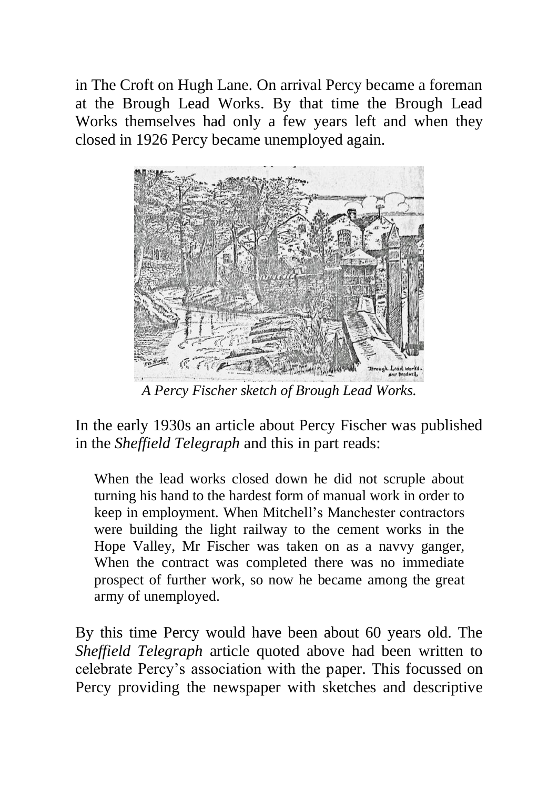in The Croft on Hugh Lane. On arrival Percy became a foreman at the Brough Lead Works. By that time the Brough Lead Works themselves had only a few years left and when they closed in 1926 Percy became unemployed again.



*A Percy Fischer sketch of Brough Lead Works.*

In the early 1930s an article about Percy Fischer was published in the *Sheffield Telegraph* and this in part reads:

When the lead works closed down he did not scruple about turning his hand to the hardest form of manual work in order to keep in employment. When Mitchell's Manchester contractors were building the light railway to the cement works in the Hope Valley, Mr Fischer was taken on as a navvy ganger, When the contract was completed there was no immediate prospect of further work, so now he became among the great army of unemployed.

By this time Percy would have been about 60 years old. The *Sheffield Telegraph* article quoted above had been written to celebrate Percy's association with the paper. This focussed on Percy providing the newspaper with sketches and descriptive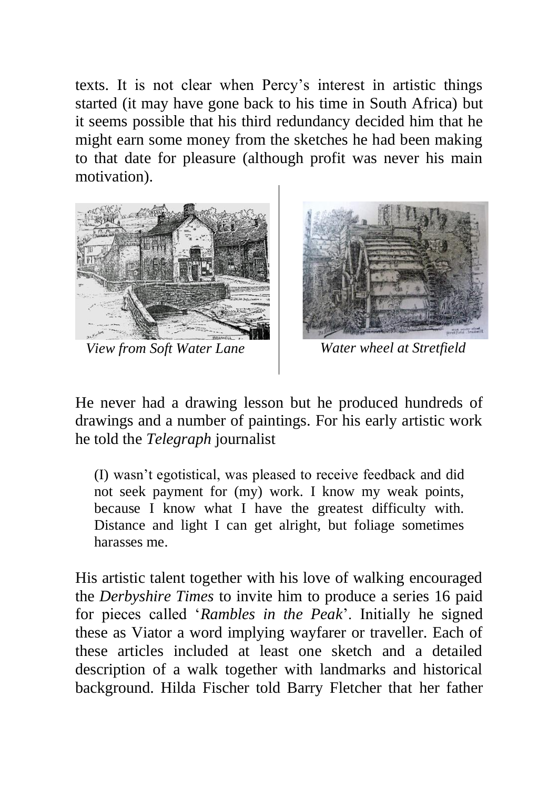texts. It is not clear when Percy's interest in artistic things started (it may have gone back to his time in South Africa) but it seems possible that his third redundancy decided him that he might earn some money from the sketches he had been making to that date for pleasure (although profit was never his main motivation).



*View from Soft Water Lane*



*Water wheel at Stretfield*

He never had a drawing lesson but he produced hundreds of drawings and a number of paintings. For his early artistic work he told the *Telegraph* journalist

(I) wasn't egotistical, was pleased to receive feedback and did not seek payment for (my) work. I know my weak points, because I know what I have the greatest difficulty with. Distance and light I can get alright, but foliage sometimes harasses me.

His artistic talent together with his love of walking encouraged the *Derbyshire Times* to invite him to produce a series 16 paid for pieces called '*Rambles in the Peak*'. Initially he signed these as Viator a word implying wayfarer or traveller. Each of these articles included at least one sketch and a detailed description of a walk together with landmarks and historical background. Hilda Fischer told Barry Fletcher that her father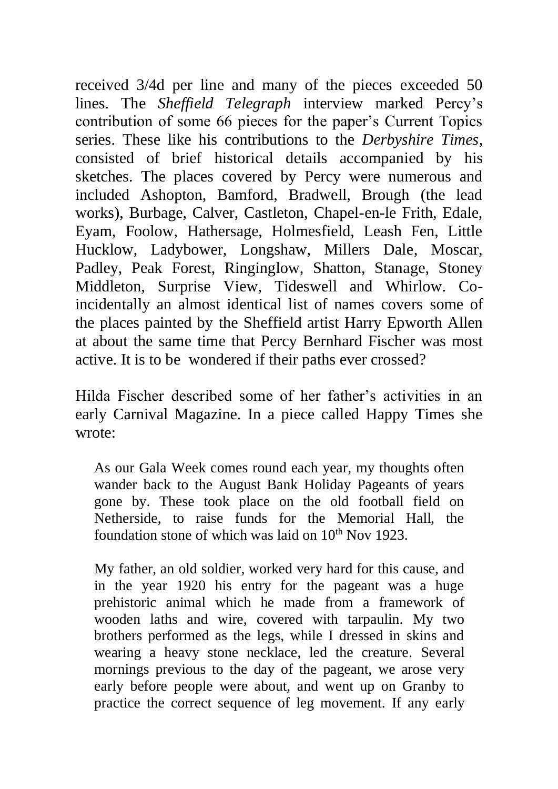received 3/4d per line and many of the pieces exceeded 50 lines. The *Sheffield Telegraph* interview marked Percy's contribution of some 66 pieces for the paper's Current Topics series. These like his contributions to the *Derbyshire Times*, consisted of brief historical details accompanied by his sketches. The places covered by Percy were numerous and included Ashopton, Bamford, Bradwell, Brough (the lead works), Burbage, Calver, Castleton, Chapel-en-le Frith, Edale, Eyam, Foolow, Hathersage, Holmesfield, Leash Fen, Little Hucklow, Ladybower, Longshaw, Millers Dale, Moscar, Padley, Peak Forest, Ringinglow, Shatton, Stanage, Stoney Middleton, Surprise View, Tideswell and Whirlow. Coincidentally an almost identical list of names covers some of the places painted by the Sheffield artist Harry Epworth Allen at about the same time that Percy Bernhard Fischer was most active. It is to be wondered if their paths ever crossed?

Hilda Fischer described some of her father's activities in an early Carnival Magazine. In a piece called Happy Times she wrote:

As our Gala Week comes round each year, my thoughts often wander back to the August Bank Holiday Pageants of years gone by. These took place on the old football field on Netherside, to raise funds for the Memorial Hall, the foundation stone of which was laid on  $10^{th}$  Nov  $1923$ .

My father, an old soldier, worked very hard for this cause, and in the year 1920 his entry for the pageant was a huge prehistoric animal which he made from a framework of wooden laths and wire, covered with tarpaulin. My two brothers performed as the legs, while I dressed in skins and wearing a heavy stone necklace, led the creature. Several mornings previous to the day of the pageant, we arose very early before people were about, and went up on Granby to practice the correct sequence of leg movement. If any early